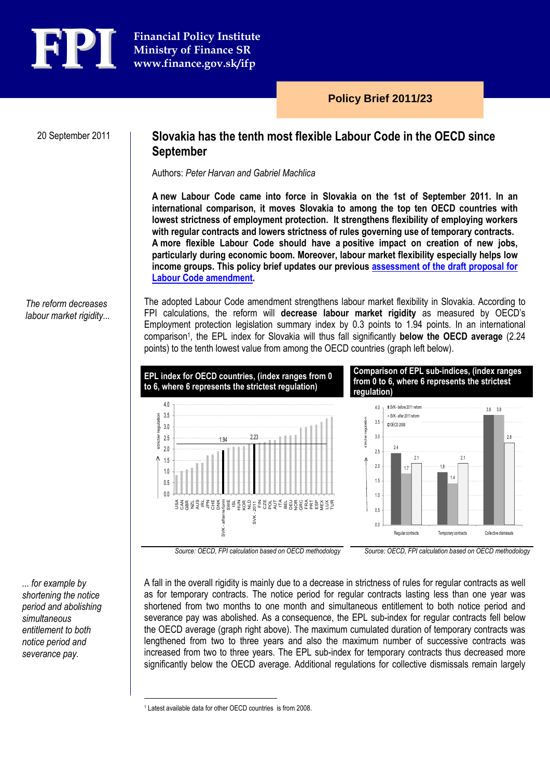

20 September 2011

# Slovakia has the tenth most flexible Labour Code in the OECD since September

Authors: Peter Harvan and Gabriel Machlica

A new Labour Code came into force in Slovakia on the 1st of September 2011. In an international comparison, it moves Slovakia to among the top ten OECD countries with lowest strictness of employment protection. It strengthens flexibility of employing workers with regular contracts and lowers strictness of rules governing use of temporary contracts. A more flexible Labour Code should have a positive impact on creation of new jobs, particularly during economic boom. Moreover, labour market flexibility especially helps low income groups. This policy brief updates our previous assessment of the draft proposal for Labour Code amendment.

## The reform decreases labour market rigidity...

The adopted Labour Code amendment strengthens labour market flexibility in Slovakia. According to FPI calculations, the reform will decrease labour market rigidity as measured by OECD's Employment protection legislation summary index by 0.3 points to 1.94 points. In an international comparison<sup>1</sup>, the EPL index for Slovakia will thus fall significantly below the OECD average (2.24 points) to the tenth lowest value from among the OECD countries (graph left below).



Source: OECD, FPI calculation based on OECD methodology Source: OECD, FPI calculation based on OECD methodology

... for example by shortening the notice period and abolishing simultaneous entitlement to both notice period and severance pay.

A fall in the overall rigidity is mainly due to a decrease in strictness of rules for regular contracts as well as for temporary contracts. The notice period for regular contracts lasting less than one year was shortened from two months to one month and simultaneous entitlement to both notice period and severance pay was abolished. As a consequence, the EPL sub-index for regular contracts fell below the OECD average (graph right above). The maximum cumulated duration of temporary contracts was lengthened from two to three years and also the maximum number of successive contracts was increased from two to three years. The EPL sub-index for temporary contracts thus decreased more significantly below the OECD average. Additional regulations for collective dismissals remain largely

 $\overline{a}$ 

<sup>1</sup> Latest available data for other OECD countries is from 2008.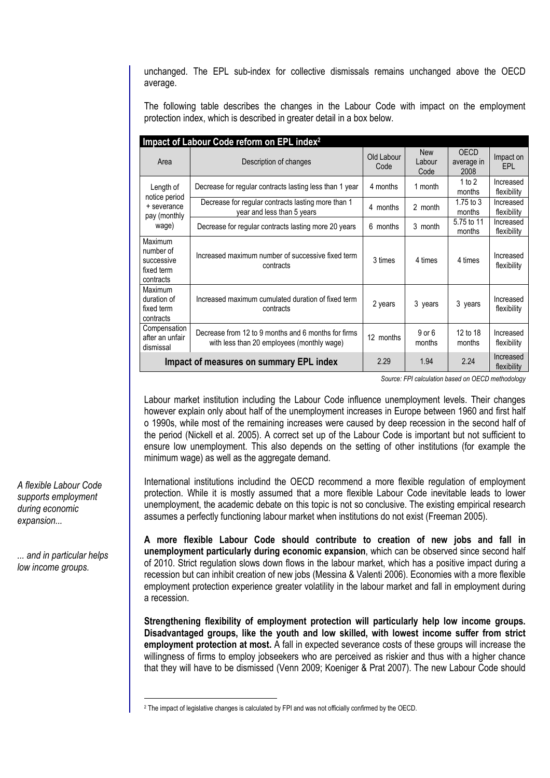unchanged. The EPL sub-index for collective dismissals remains unchanged above the OECD average.

The following table describes the changes in the Labour Code with impact on the employment protection index, which is described in greater detail in a box below.

| Impact of Labour Code reform on EPL index <sup>2</sup>             |                                                                                                   |                    |                              |                                   |                          |
|--------------------------------------------------------------------|---------------------------------------------------------------------------------------------------|--------------------|------------------------------|-----------------------------------|--------------------------|
| Area                                                               | Description of changes                                                                            | Old Labour<br>Code | <b>New</b><br>Labour<br>Code | <b>OECD</b><br>average in<br>2008 | Impact on<br>EPL         |
| Length of<br>notice period<br>+ severance<br>pay (monthly<br>wage) | Decrease for regular contracts lasting less than 1 year                                           | 4 months           | 1 month                      | 1 to $2$<br>months                | Increased<br>flexibility |
|                                                                    | Decrease for regular contracts lasting more than 1<br>year and less than 5 years                  | 4 months           | 2 month                      | $1.75$ to $3$<br>months           | Increased<br>flexibility |
|                                                                    | Decrease for regular contracts lasting more 20 years                                              | 6 months           | 3 month                      | 5.75 to 11<br>months              | Increased<br>flexibility |
| Maximum<br>number of<br>successive<br>fixed term<br>contracts      | Increased maximum number of successive fixed term<br>contracts                                    | 3 times            | 4 times                      | 4 times                           | Increased<br>flexibility |
| Maximum<br>duration of<br>fixed term<br>contracts                  | Increased maximum cumulated duration of fixed term<br>contracts                                   | 2 years            | 3 years                      | 3 years                           | Increased<br>flexibility |
| Compensation<br>after an unfair<br>dismissal                       | Decrease from 12 to 9 months and 6 months for firms<br>with less than 20 employees (monthly wage) | 12 months          | $9$ or $6$<br>months         | 12 to 18<br>months                | Increased<br>flexibility |
| Impact of measures on summary EPL index                            |                                                                                                   | 2.29               | 1.94                         | 2.24                              | Increased<br>flexibility |

Source: FPI calculation based on OECD methodology

Labour market institution including the Labour Code influence unemployment levels. Their changes however explain only about half of the unemployment increases in Europe between 1960 and first half o 1990s, while most of the remaining increases were caused by deep recession in the second half of the period (Nickell et al. 2005). A correct set up of the Labour Code is important but not sufficient to ensure low unemployment. This also depends on the setting of other institutions (for example the minimum wage) as well as the aggregate demand.

International institutions includind the OECD recommend a more flexible regulation of employment protection. While it is mostly assumed that a more flexible Labour Code inevitable leads to lower unemployment, the academic debate on this topic is not so conclusive. The existing empirical research assumes a perfectly functioning labour market when institutions do not exist (Freeman 2005).

A more flexible Labour Code should contribute to creation of new jobs and fall in unemployment particularly during economic expansion, which can be observed since second half of 2010. Strict regulation slows down flows in the labour market, which has a positive impact during a recession but can inhibit creation of new jobs (Messina & Valenti 2006). Economies with a more flexible employment protection experience greater volatility in the labour market and fall in employment during a recession.

Strengthening flexibility of employment protection will particularly help low income groups. Disadvantaged groups, like the youth and low skilled, with lowest income suffer from strict employment protection at most. A fall in expected severance costs of these groups will increase the willingness of firms to employ jobseekers who are perceived as riskier and thus with a higher chance that they will have to be dismissed (Venn 2009; Koeniger & Prat 2007). The new Labour Code should

A flexible Labour Code supports employment during economic expansion...

... and in particular helps low income groups.

 $\overline{a}$ 

<sup>2</sup> The impact of legislative changes is calculated by FPI and was not officially confirmed by the OECD.